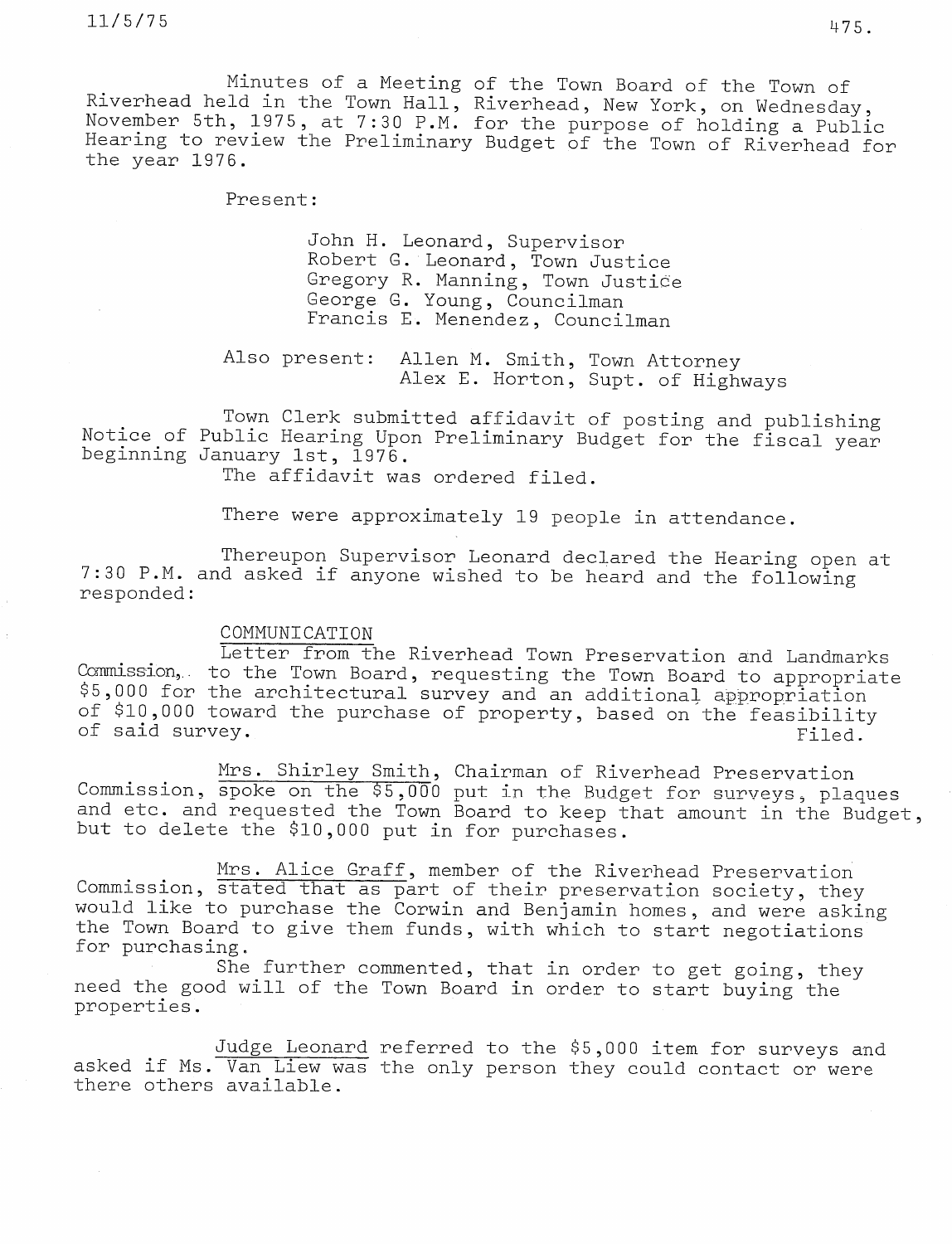Minutes of a Meeting of the Town Board of the Town of Riverhead held in the Town Hall, Riverhead, New York, on Wednesday, November 5th, 1975, at 7:30 P.M. for the purpose of holding <sup>a</sup> Public Hearing to review the Preliminary Budget of the Town of Riverhead for the year 1976.

Present:

John H. Leonard, Supervisor Robert G. Leonard, Town Justice Gregory R. Manning, Town Justice George G. Young, Councilman Francis E. Menendez, Councilman

Also present: Allen M. Smith, Town Attorney Alex E. Horton, Supt. of Highways

Town Clerk submitted affidavit of posting and publishing Notice of Public Hearing Upon Preliminary Budget for the fiscal year beginning January 1st, 1976.

The affidavit was ordered filed.

There were approximately 19 people in attendance.

Thereupon Supervisor Leonard declared the Hearing open at 7:30 P.M. and asked if anyone wished to be heard and the following responded:

## COMMUNICATION

Letter from the Riverhead Town Preservation and Landmarks Commission, to the Town Board, requesting the Town Board to appropriate \$5,000 for the architectural survey and an additional appropriation of \$10,000 toward the purchase of property, based on the feasibility of said survey. The contract of said survey.

Mrs. Shirley Smith, Chairman of Riverhead Preservation Commission, spoke on the \$5,000 put in the Budget for surveys, plaques and etc. and requested the Town Board to keep that amount in the Budget, but to delete the \$10,000 put in for purchases.

Mrs. Alice Graff, member of the Riverhead Preservation Commission, stated that as part of their preservation society, they would like to purchase the Corwin and Benjamin homes, and were asking the Town Board to give them funds, with which to start negotiations for purchasing.

She further commented, that in order to get going, they need the good will of the Town Board in order to start buying the properties.

Judge Leonard referred to the \$5,000 item for surveys and asked if Ms. Van Liew was the only person they could contact or were there others available.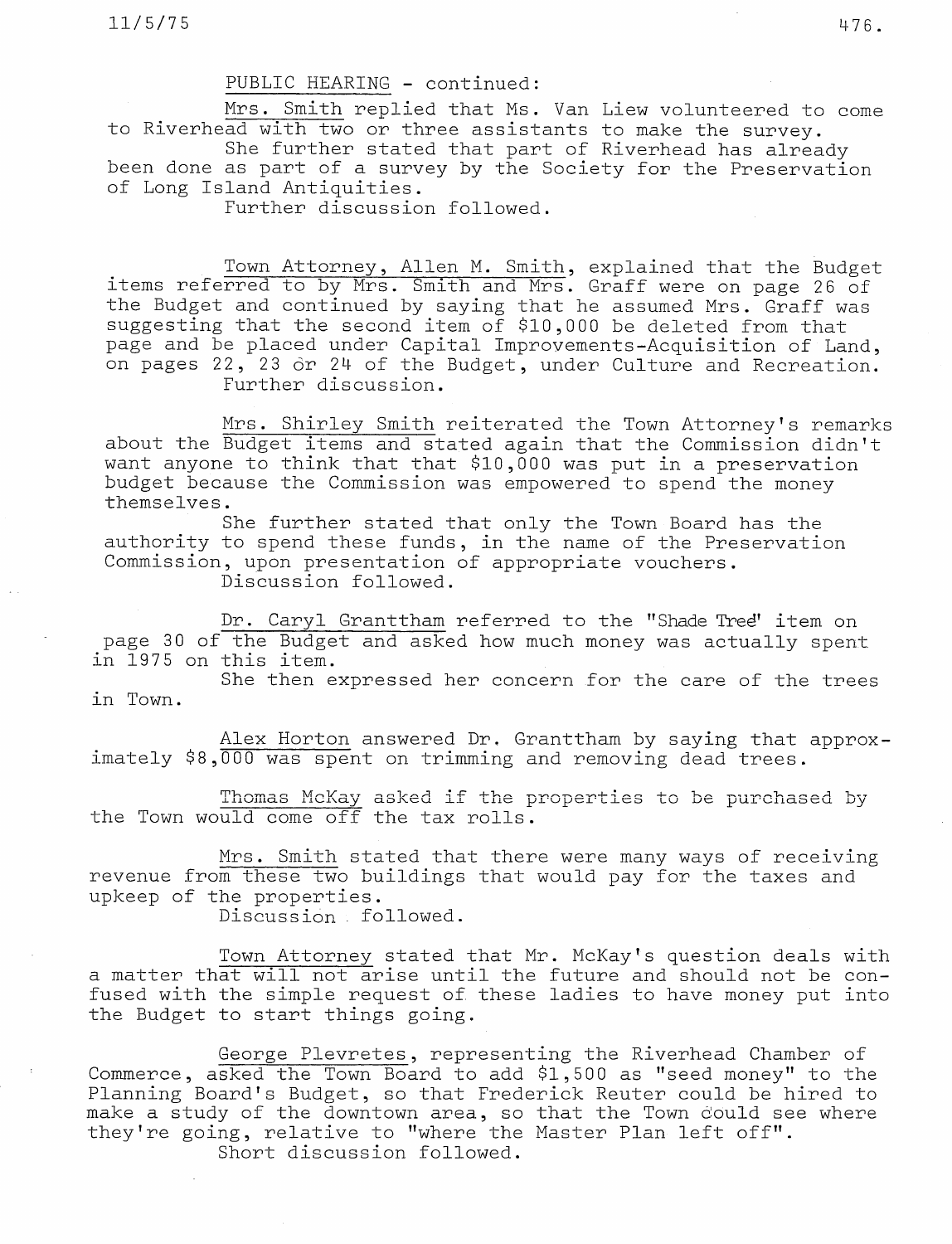$11/5/75$  476

## PUBLIC HEARING - continued:

Mrs. Smith replied that Ms. Van Liew volunteered to come to Riverhead with two or three assistants to make the survey.

She further stated that part of Riverhead has already been done as part of a survey by the Society for the Preservation of Long Island Antiquities.

Further discussion followed.

Town Attorney, Allen M. Smith, explained that the Budget items referred to by Mrs. Smith and Mrs. Graff were on page 26 of the Budget and continued by saying that he assumed Mrs. Graff wa suggesting that the second item of  $\$10\,,000$  be deleted from th page and be placed under Capital Improvements-Acquisition of Land, on pages 22, 23 or 24 of the Budget, under Culture and Recreation. Further discussion.

Mrs. Shirley Smith reiterated the Town Attorney's remarks about the Budget items and stated again that the Commission didn't want anyone to think that that \$10,000 was put in a preservation budget because the Commission was empowered to spend the money themselves.

She further stated that only the Town Board has the authority to spend these funds, in the name of the Preservation Commission, upon presentation of appropriate vouchers.

Discussion followed.

Dr. Caryl Granttham referred to the "Shade Tred' item on page 30 of the Budget and asked how much money was actually spent in 1975 on this item.

She then expressed her concern for the care of the trees in Town.

Alex Horton answered Dr. Granttham by saying that approximately \$8,000 was spent on trimming and removing dead trees.

Thomas McKay asked if the properties to be purchased by the Town would come off the tax rolls.

Mrs. Smith stated that there were many ways of receiving revenue from these two buildings that would pay for the taxes and upkeep of the properties.

Discussion followed.

Town Attorney stated that Mr. McKay's question deals with a matter that will not arise until the future and should not be confused with the simple request of these ladies to have money put into the Budget to start things going.

George Plevretes, representing the Riverhead Chamber of Commerce, asked the Town Board to add \$1,500 as "seed money" to the Planning Board's Budget, so that Frederick Reuter could be hired to make a study of the downtown area, so that the Town dould see where they're going, relative to "where the Master Plan left off". Short discussion followed.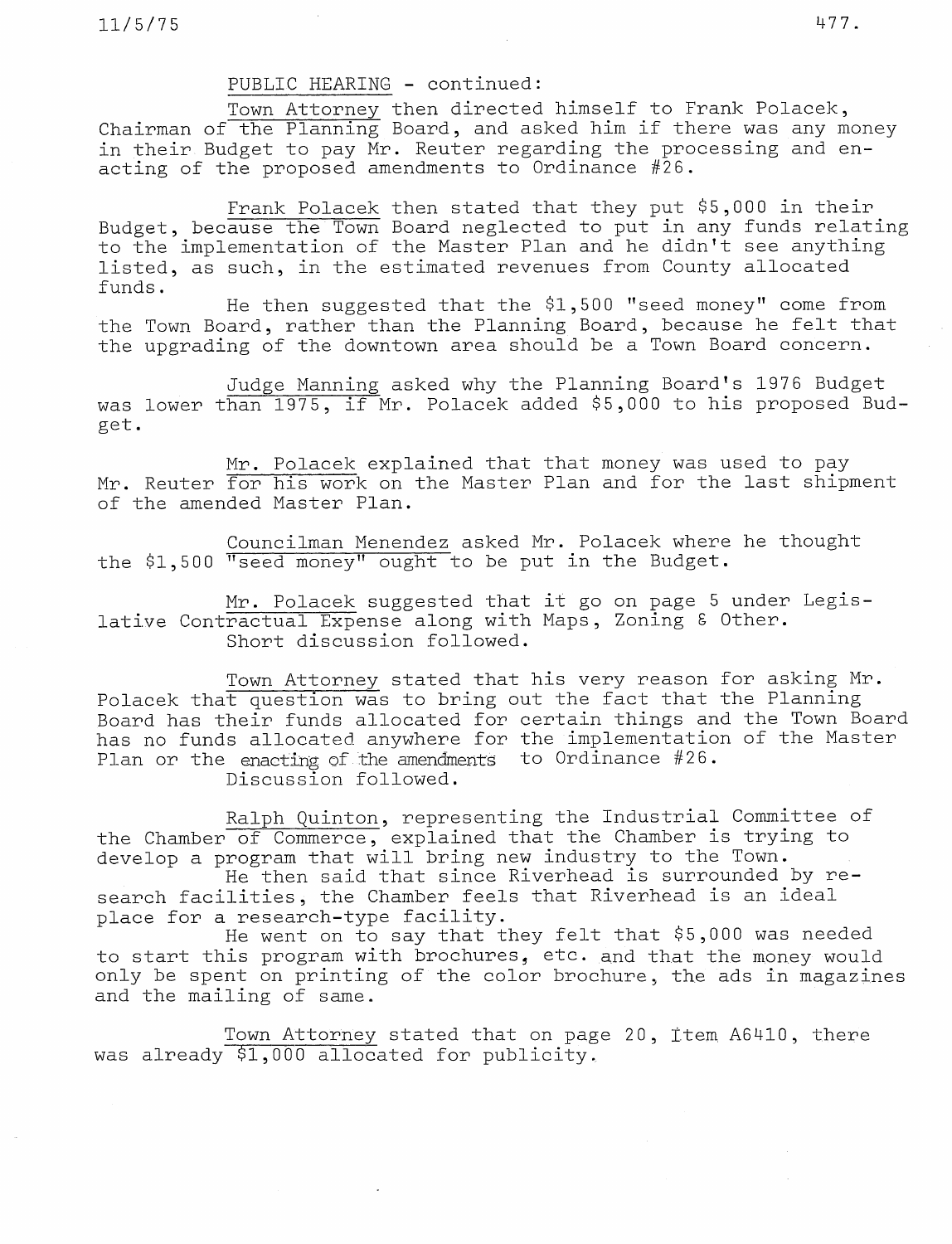## PUBLIC HEARING - continued:

Town Attorney then directed himself to Frank Polacek, Chairman of the Planning Board, and asked him if there was any money in their Budget to pay Mr. Reuter regarding the processing and enacting of the proposed amendments to Ordinance #26.

Frank Polacek then stated that they put \$5,000 in their Budget, because the Town Board neglected to put in any funds relating to the implementation of the Master Plan and he didn't see anything listed, as such, in the estimated revenues from County allocated funds.

He then suggested that the \$1,500 "seed money" come from the Town Board, rather than the Planning Board, because he felt that the upgrading of the downtown area should be a Town Board concern.

Judge Manning asked why the Planning Board's 1976 Budget was lower than 1975, if Mr. Polacek added \$5,000 to his proposed Budget.

Mr. Polacek explained that that money was used to pay Mr. Reuter for his work on the Master Plan and for the last shipment of the amended Master Plan.

Councilman Menendez asked Mr. Polacek where he thought the \$1,500 "seed money" ought to be put in the Budget.

Mr. Polacek suggested that it go on page 5 under Legislative Contractual Expense along with Maps, Zoning 8 Other. Short discussion followed.

Town Attorney stated that his very reason for asking Mr. Polacek that question was to bring out the fact that the Planning Board has their funds allocated for certain things and the Town Board has no funds allocated anywhere for the implementation of the Master Plan or the enacting of the amendments to Ordinance #26. Discussion followed.

Ralph Quinton, representing the Industrial Committee of the Chamber of Commerce, explained that the Chamber is trying to develop a program that will bring new industry to the Town.

He then said that since Riverhead is surrounded by research facilities, the Chamber feels that Riverhead is an ideal place for a research-type facility.

He went on to say that they felt that \$5,000 was needed to start this program with brochures, etc. and that the money would only be spent on printing of the color brochure, the ads in magazines and the mailing of same.

Town Attorney stated that on page 20, item A6410, there was already \$1,000 allocated for publicity.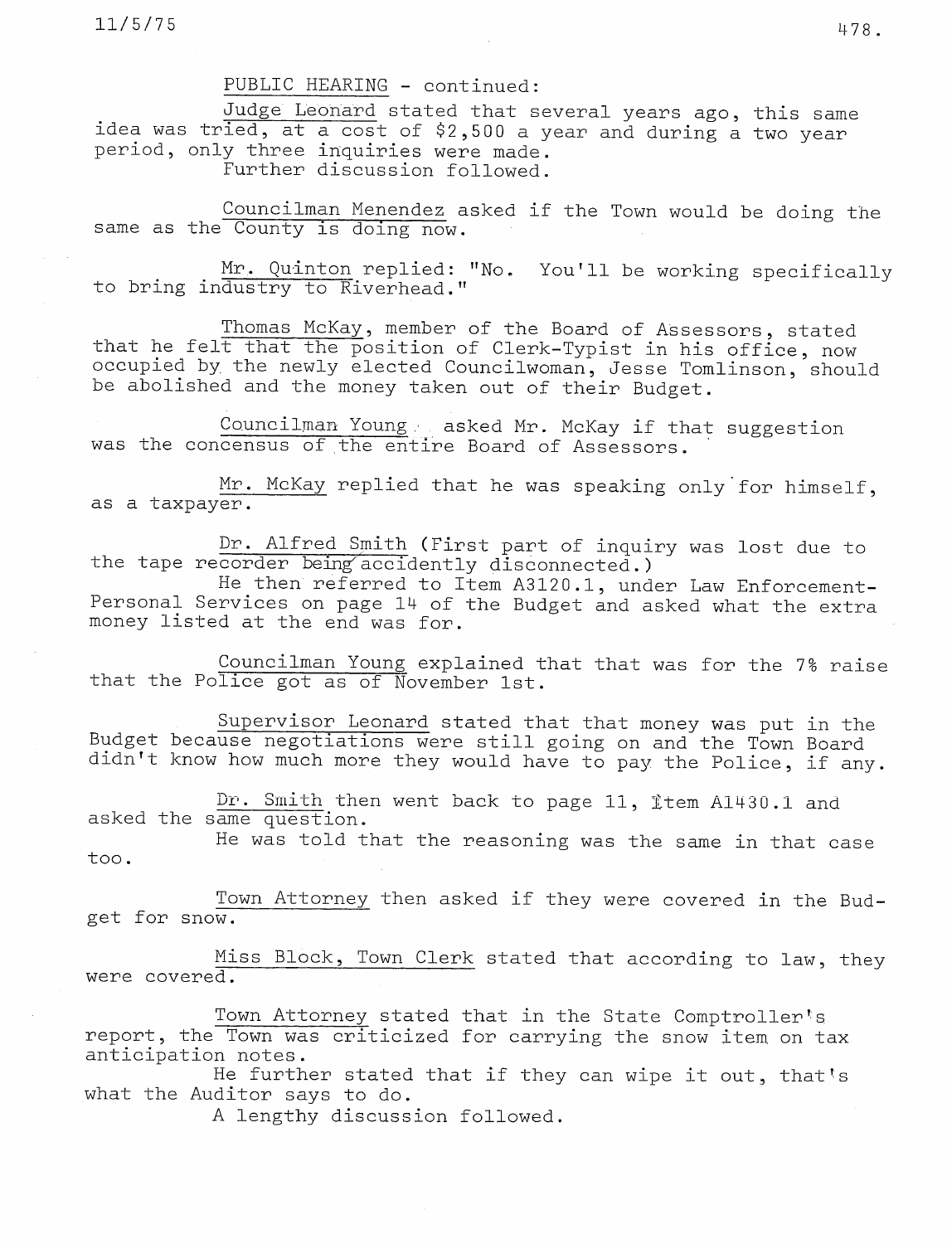## PUBLIC HEARING - continued:

Judge Leonard stated that several years ago, this same idea was tried, at a cost of \$2,500 a year and during a two year period, only three inquiries were made. Further discussion followed.

Councilman Menendez asked if the Town would be doing the same as the County is doing now.

Mr. Quinton replied: "No. You'll be working specifically to bring industry to Riverhead."

Thomas McKay, member of the Board of Assessors, stated that he felt that the position of Clerk-Typist in his office, now occupied by the newly elected Councilwoman, Jesse Tomlinson, should be abolished and the money taken out of their Budget.

Councilman Young . asked Mr. McKay if that suggestion was the concensus of the entire Board of Assessors.

Mr. McKay replied that he was speaking only'for himself, as a taxpayer.

Dr. Alfred Smith (First part of inquiry was lost due to the tape recorder being accidently disconnected.)

He then referred to Item A3120.1, under Law Enforcement-Personal Services on page 14 of the Budget and asked what the extra money listed at the end was for.

Councilman Young explained that that was for the 7% raise that the Police got as of November 1st.

Supervisor Leonard stated that that money was put in the Budget because negotiations were still going on and the Town Board didn't know how much more they would have to pay the Police, if any.

Dr. Smith then went back to page 11, Item A1430.1 and asked the same question.

He was told that the reasoning was the same in that case too.

Town Attorney then asked if they were covered in the Budget for snow.

Miss Block, Town Clerk stated that according to law, they were covered.

Town Attorney stated that in the State Comptroller's report, the Town was criticized for carrying the snow item on tax anticipation notes.

He further stated that if they can wipe it out, that's what the Auditor says to do.

A lengthy discussion followed.